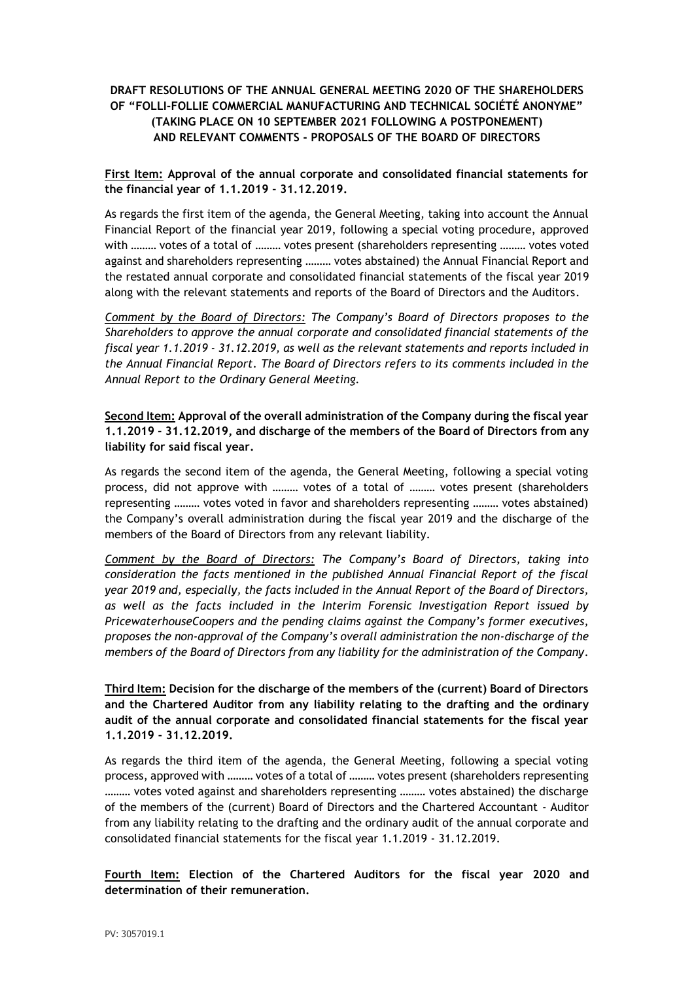# **DRAFT RESOLUTIONS OF THE ANNUAL GENERAL MEETING 2020 OF THE SHAREHOLDERS OF "FOLLI-FOLLIE COMMERCIAL MANUFACTURING AND TECHNICAL SOCIÉTÉ ANONYME" (TAKING PLACE ON 10 SEPTEMBER 2021 FOLLOWING A POSTPONEMENT) AND RELEVANT COMMENTS - PROPOSALS OF THE BOARD OF DIRECTORS**

### **First Item: Approval of the annual corporate and consolidated financial statements for the financial year of 1.1.2019 - 31.12.2019.**

As regards the first item of the agenda, the General Meeting, taking into account the Annual Financial Report of the financial year 2019, following a special voting procedure, approved with ……… votes of a total of ……… votes present (shareholders representing ……… votes voted against and shareholders representing ……… votes abstained) the Annual Financial Report and the restated annual corporate and consolidated financial statements of the fiscal year 2019 along with the relevant statements and reports of the Board of Directors and the Auditors.

*Comment by the Board of Directors: The Company's Board of Directors proposes to the Shareholders to approve the annual corporate and consolidated financial statements of the fiscal year 1.1.2019 - 31.12.2019, as well as the relevant statements and reports included in the Annual Financial Report. The Board of Directors refers to its comments included in the Annual Report to the Ordinary General Meeting.*

**Second Item: Approval of the overall administration of the Company during the fiscal year 1.1.2019 - 31.12.2019, and discharge of the members of the Board of Directors from any liability for said fiscal year.**

As regards the second item of the agenda, the General Meeting, following a special voting process, did not approve with ……… votes of a total of ……… votes present (shareholders representing ……… votes voted in favor and shareholders representing ……… votes abstained) the Company's overall administration during the fiscal year 2019 and the discharge of the members of the Board of Directors from any relevant liability.

*Comment by the Board of Directors: The Company's Board of Directors, taking into consideration the facts mentioned in the published Annual Financial Report of the fiscal year 2019 and, especially, the facts included in the Annual Report of the Board of Directors, as well as the facts included in the Interim Forensic Investigation Report issued by PricewaterhouseCoopers and the pending claims against the Company's former executives, proposes the non-approval of the Company's overall administration the non-discharge of the members of the Board of Directors from any liability for the administration of the Company.*

**Third Item: Decision for the discharge of the members of the (current) Board of Directors and the Chartered Auditor from any liability relating to the drafting and the ordinary audit of the annual corporate and consolidated financial statements for the fiscal year 1.1.2019 - 31.12.2019.**

As regards the third item of the agenda, the General Meeting, following a special voting process, approved with ……… votes of a total of ……… votes present (shareholders representing ……… votes voted against and shareholders representing ……… votes abstained) the discharge of the members of the (current) Board of Directors and the Chartered Accountant - Auditor from any liability relating to the drafting and the ordinary audit of the annual corporate and consolidated financial statements for the fiscal year 1.1.2019 - 31.12.2019.

**Fourth Item: Election of the Chartered Auditors for the fiscal year 2020 and determination of their remuneration.**